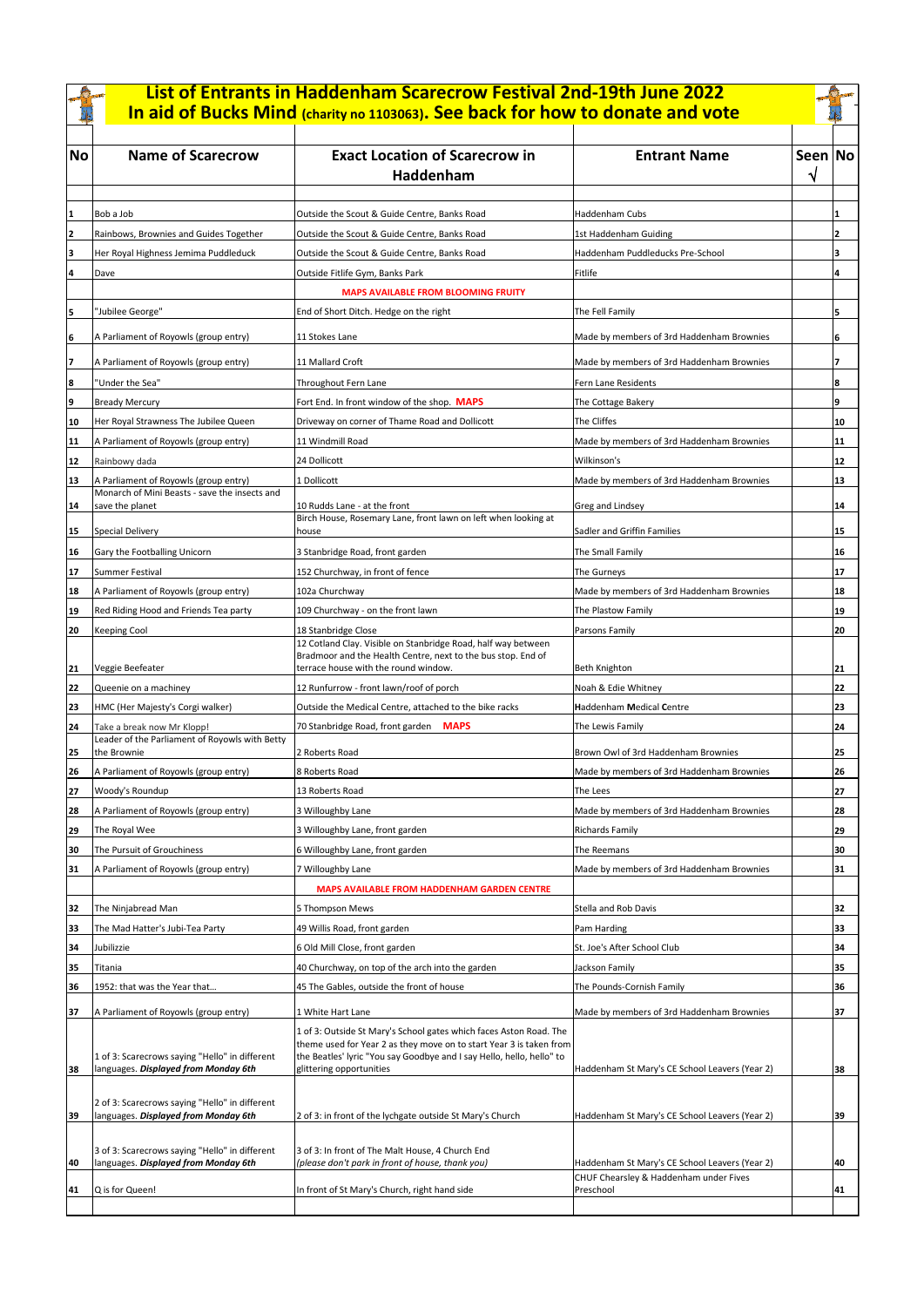|          |                                                                                        | List of Entrants in Haddenham Scarecrow Festival 2nd-19th June 2022<br>In aid of Bucks Mind (charity no 1103063). See back for how to donate and vote                                                                                          |                                                     |         |          |
|----------|----------------------------------------------------------------------------------------|------------------------------------------------------------------------------------------------------------------------------------------------------------------------------------------------------------------------------------------------|-----------------------------------------------------|---------|----------|
| No       | <b>Name of Scarecrow</b>                                                               | <b>Exact Location of Scarecrow in</b><br>Haddenham                                                                                                                                                                                             | <b>Entrant Name</b>                                 | Seen No |          |
|          |                                                                                        |                                                                                                                                                                                                                                                |                                                     |         |          |
|          | Bob a Job                                                                              | Outside the Scout & Guide Centre, Banks Road                                                                                                                                                                                                   | Haddenham Cubs                                      |         |          |
|          | Rainbows, Brownies and Guides Together                                                 | Outside the Scout & Guide Centre, Banks Road                                                                                                                                                                                                   | 1st Haddenham Guiding                               |         | 2        |
|          | Her Royal Highness Jemima Puddleduck<br>Dave                                           | Outside the Scout & Guide Centre, Banks Road<br>Outside Fitlife Gym, Banks Park                                                                                                                                                                | Haddenham Puddleducks Pre-School<br>Fitlife         |         | 3<br>4   |
|          |                                                                                        | <b>MAPS AVAILABLE FROM BLOOMING FRUITY</b>                                                                                                                                                                                                     |                                                     |         |          |
|          | "Jubilee George"                                                                       | End of Short Ditch. Hedge on the right                                                                                                                                                                                                         | The Fell Family                                     |         | 5        |
|          |                                                                                        |                                                                                                                                                                                                                                                |                                                     |         |          |
| 16       | A Parliament of Royowls (group entry)                                                  | 11 Stokes Lane                                                                                                                                                                                                                                 | Made by members of 3rd Haddenham Brownies           |         | 6        |
|          | A Parliament of Royowls (group entry)                                                  | 11 Mallard Croft                                                                                                                                                                                                                               | Made by members of 3rd Haddenham Brownies           |         | 7        |
| 8        | "Under the Sea"                                                                        | Throughout Fern Lane                                                                                                                                                                                                                           | Fern Lane Residents                                 |         | 8        |
| 9        | <b>Bready Mercury</b>                                                                  | Fort End. In front window of the shop. MAPS                                                                                                                                                                                                    | The Cottage Bakery                                  |         | 9        |
| 10       | Her Royal Strawness The Jubilee Queen                                                  | Driveway on corner of Thame Road and Dollicott                                                                                                                                                                                                 | The Cliffes                                         |         | 10       |
| 11       | A Parliament of Royowls (group entry)                                                  | 11 Windmill Road                                                                                                                                                                                                                               | Made by members of 3rd Haddenham Brownies           |         | 11       |
| 12       | Rainbowy dada                                                                          | 24 Dollicott                                                                                                                                                                                                                                   | Wilkinson's                                         |         | 12       |
| 13       | A Parliament of Royowls (group entry)                                                  | 1 Dollicott                                                                                                                                                                                                                                    | Made by members of 3rd Haddenham Brownies           |         | 13       |
| 14       | Monarch of Mini Beasts - save the insects and<br>save the planet                       | 10 Rudds Lane - at the front                                                                                                                                                                                                                   | Greg and Lindsey                                    |         | 14       |
|          |                                                                                        | Birch House, Rosemary Lane, front lawn on left when looking at                                                                                                                                                                                 |                                                     |         |          |
| 15       | Special Delivery                                                                       | house                                                                                                                                                                                                                                          | Sadler and Griffin Families                         |         | 15       |
| 16       | Gary the Footballing Unicorn                                                           | 3 Stanbridge Road, front garden                                                                                                                                                                                                                | The Small Family                                    |         | 16       |
| 17       | <b>Summer Festival</b>                                                                 | 152 Churchway, in front of fence                                                                                                                                                                                                               | The Gurneys                                         |         | 17       |
| 18       | A Parliament of Royowls (group entry)                                                  | 102a Churchway                                                                                                                                                                                                                                 | Made by members of 3rd Haddenham Brownies           |         | 18       |
| 19       | Red Riding Hood and Friends Tea party                                                  | 109 Churchway - on the front lawn                                                                                                                                                                                                              | The Plastow Family                                  |         | 19       |
| 20       | <b>Keeping Cool</b>                                                                    | 18 Stanbridge Close                                                                                                                                                                                                                            | Parsons Family                                      |         | 20       |
| 21       | Veggie Beefeater                                                                       | 12 Cotland Clay. Visible on Stanbridge Road, half way between<br>Bradmoor and the Health Centre, next to the bus stop. End of<br>terrace house with the round window.                                                                          | Beth Knighton                                       |         | 21       |
| 22       | Queenie on a machiney                                                                  | 12 Runfurrow - front lawn/roof of porch                                                                                                                                                                                                        | Noah & Edie Whitney                                 |         | 22       |
| 23       | HMC (Her Majesty's Corgi walker)                                                       | Outside the Medical Centre, attached to the bike racks                                                                                                                                                                                         | <b>Haddenham Medical Centre</b>                     |         | 23       |
| 24       | Take a break now Mr Klopp!                                                             | 70 Stanbridge Road, front garden MAPS                                                                                                                                                                                                          | The Lewis Family                                    |         | 24       |
|          | Leader of the Parliament of Royowls with Betty<br>the Brownie                          | 2 Roberts Road                                                                                                                                                                                                                                 | Brown Owl of 3rd Haddenham Brownies                 |         | 25       |
| 25<br>26 |                                                                                        | 8 Roberts Road                                                                                                                                                                                                                                 | Made by members of 3rd Haddenham Brownies           |         | 26       |
|          | A Parliament of Royowls (group entry)                                                  |                                                                                                                                                                                                                                                |                                                     |         |          |
| 27       | Woody's Roundup<br>A Parliament of Royowls (group entry)                               | 13 Roberts Road                                                                                                                                                                                                                                | The Lees                                            |         | 27<br>28 |
| 28       |                                                                                        | 3 Willoughby Lane                                                                                                                                                                                                                              | Made by members of 3rd Haddenham Brownies           |         |          |
| 29       | The Royal Wee                                                                          | 3 Willoughby Lane, front garden                                                                                                                                                                                                                | <b>Richards Family</b>                              |         | 29       |
| 30       | The Pursuit of Grouchiness                                                             | 6 Willoughby Lane, front garden                                                                                                                                                                                                                | The Reemans                                         |         | 30       |
| 31       | A Parliament of Royowls (group entry)                                                  | 7 Willoughby Lane                                                                                                                                                                                                                              | Made by members of 3rd Haddenham Brownies           |         | 31       |
|          |                                                                                        | MAPS AVAILABLE FROM HADDENHAM GARDEN CENTRE                                                                                                                                                                                                    |                                                     |         |          |
| 32       | The Ninjabread Man                                                                     | 5 Thompson Mews                                                                                                                                                                                                                                | Stella and Rob Davis                                |         | 32       |
| 33       | The Mad Hatter's Jubi-Tea Party                                                        | 49 Willis Road, front garden                                                                                                                                                                                                                   | Pam Harding                                         |         | 33       |
| 34       | Jubilizzie                                                                             | 6 Old Mill Close, front garden                                                                                                                                                                                                                 | St. Joe's After School Club                         |         | 34       |
| 35       | Titania                                                                                | 40 Churchway, on top of the arch into the garden                                                                                                                                                                                               | Jackson Family                                      |         | 35       |
| 36       | 1952: that was the Year that                                                           | 45 The Gables, outside the front of house                                                                                                                                                                                                      | The Pounds-Cornish Family                           |         | 36       |
| 37       | A Parliament of Royowls (group entry)                                                  | 1 White Hart Lane                                                                                                                                                                                                                              | Made by members of 3rd Haddenham Brownies           |         | 37       |
| 38       | 1 of 3: Scarecrows saying "Hello" in different<br>languages. Displayed from Monday 6th | 1 of 3: Outside St Mary's School gates which faces Aston Road. The<br>theme used for Year 2 as they move on to start Year 3 is taken from<br>the Beatles' lyric "You say Goodbye and I say Hello, hello, hello" to<br>glittering opportunities | Haddenham St Mary's CE School Leavers (Year 2)      |         | 38       |
| 39       | 2 of 3: Scarecrows saying "Hello" in different<br>languages. Displayed from Monday 6th | 2 of 3: in front of the lychgate outside St Mary's Church                                                                                                                                                                                      | Haddenham St Mary's CE School Leavers (Year 2)      |         | 39       |
| 40       | 3 of 3: Scarecrows saying "Hello" in different<br>languages. Displayed from Monday 6th | 3 of 3: In front of The Malt House, 4 Church End<br>(please don't park in front of house, thank you)                                                                                                                                           | Haddenham St Mary's CE School Leavers (Year 2)      |         | 40       |
| 41       | Q is for Queen!                                                                        | In front of St Mary's Church, right hand side                                                                                                                                                                                                  | CHUF Chearsley & Haddenham under Fives<br>Preschool |         | 41       |